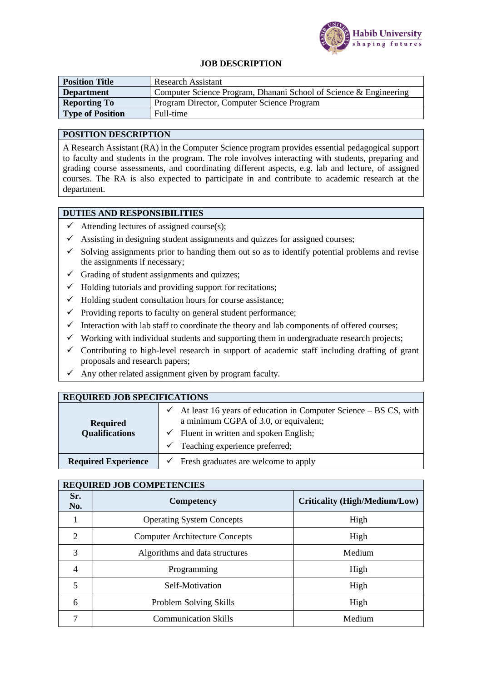

#### **JOB DESCRIPTION**

| <b>Position Title</b>   | <b>Research Assistant</b>                                         |  |
|-------------------------|-------------------------------------------------------------------|--|
| <b>Department</b>       | Computer Science Program, Dhanani School of Science & Engineering |  |
| <b>Reporting To</b>     | Program Director, Computer Science Program                        |  |
| <b>Type of Position</b> | Full-time                                                         |  |

#### **POSITION DESCRIPTION**

A Research Assistant (RA) in the Computer Science program provides essential pedagogical support to faculty and students in the program. The role involves interacting with students, preparing and grading course assessments, and coordinating different aspects, e.g. lab and lecture, of assigned courses. The RA is also expected to participate in and contribute to academic research at the department.

## **DUTIES AND RESPONSIBILITIES**

- $\checkmark$  Attending lectures of assigned course(s);
- $\checkmark$  Assisting in designing student assignments and quizzes for assigned courses;
- $\checkmark$  Solving assignments prior to handing them out so as to identify potential problems and revise the assignments if necessary;
- $\checkmark$  Grading of student assignments and quizzes:
- $\checkmark$  Holding tutorials and providing support for recitations;
- $\checkmark$  Holding student consultation hours for course assistance;
- $\checkmark$  Providing reports to faculty on general student performance;
- $\checkmark$  Interaction with lab staff to coordinate the theory and lab components of offered courses;
- $\checkmark$  Working with individual students and supporting them in undergraduate research projects;
- $\checkmark$  Contributing to high-level research in support of academic staff including drafting of grant proposals and research papers;
- $\checkmark$  Any other related assignment given by program faculty.

| <b>REQUIRED JOB SPECIFICATIONS</b> |                                                                                                                           |  |  |
|------------------------------------|---------------------------------------------------------------------------------------------------------------------------|--|--|
| <b>Required</b>                    | At least 16 years of education in Computer Science – BS CS, with<br>$\checkmark$<br>a minimum CGPA of 3.0, or equivalent; |  |  |
| <b>Qualifications</b>              | $\checkmark$ Fluent in written and spoken English;                                                                        |  |  |
|                                    | $\checkmark$ Teaching experience preferred;                                                                               |  |  |
| <b>Required Experience</b>         | Fresh graduates are welcome to apply<br>$\checkmark$                                                                      |  |  |

# **REQUIRED JOB COMPETENCIES**

| REQUIRED JOD COMI ETERCIES |                                       |                                      |  |
|----------------------------|---------------------------------------|--------------------------------------|--|
| Sr.<br>No.                 | <b>Competency</b>                     | <b>Criticality (High/Medium/Low)</b> |  |
|                            | <b>Operating System Concepts</b>      | High                                 |  |
| $\overline{2}$             | <b>Computer Architecture Concepts</b> | High                                 |  |
| 3                          | Algorithms and data structures        | Medium                               |  |
| 4                          | Programming                           | High                                 |  |
| 5                          | Self-Motivation                       | High                                 |  |
| 6                          | Problem Solving Skills                | High                                 |  |
|                            | <b>Communication Skills</b>           | Medium                               |  |